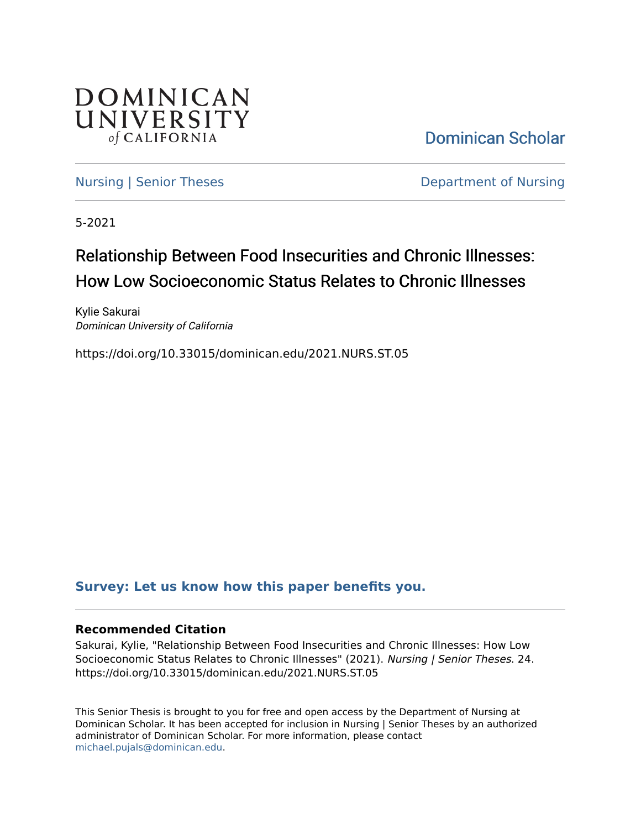

[Dominican Scholar](https://scholar.dominican.edu/) 

[Nursing | Senior Theses](https://scholar.dominican.edu/nursing-senior-theses) **Department of Nursing** 

5-2021

# Relationship Between Food Insecurities and Chronic Illnesses: How Low Socioeconomic Status Relates to Chronic Illnesses

Kylie Sakurai Dominican University of California

https://doi.org/10.33015/dominican.edu/2021.NURS.ST.05

### **[Survey: Let us know how this paper benefits you.](https://dominican.libwizard.com/dominican-scholar-feedback)**

### **Recommended Citation**

Sakurai, Kylie, "Relationship Between Food Insecurities and Chronic Illnesses: How Low Socioeconomic Status Relates to Chronic Illnesses" (2021). Nursing | Senior Theses. 24. https://doi.org/10.33015/dominican.edu/2021.NURS.ST.05

This Senior Thesis is brought to you for free and open access by the Department of Nursing at Dominican Scholar. It has been accepted for inclusion in Nursing | Senior Theses by an authorized administrator of Dominican Scholar. For more information, please contact [michael.pujals@dominican.edu.](mailto:michael.pujals@dominican.edu)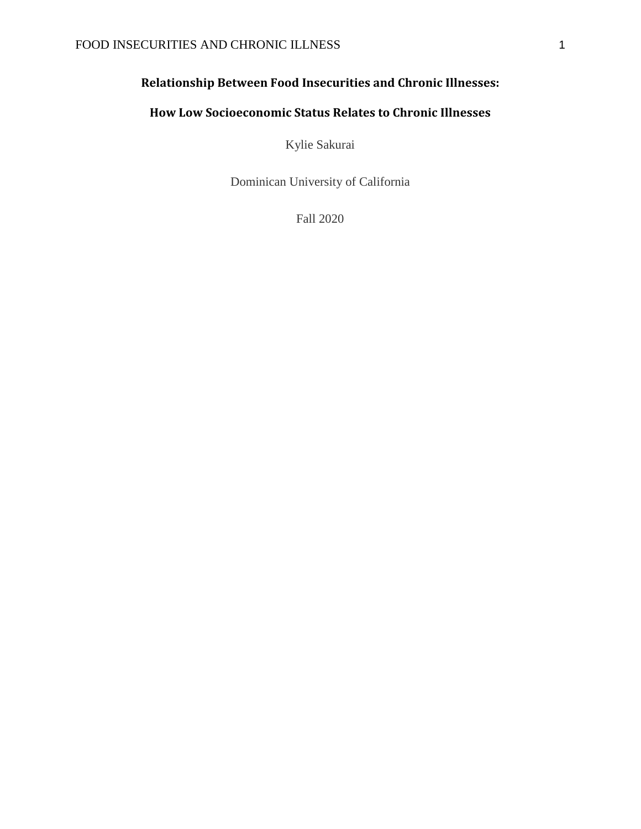# **Relationship Between Food Insecurities and Chronic Illnesses:**

# **How Low Socioeconomic Status Relates to Chronic Illnesses**

Kylie Sakurai

Dominican University of California

Fall 2020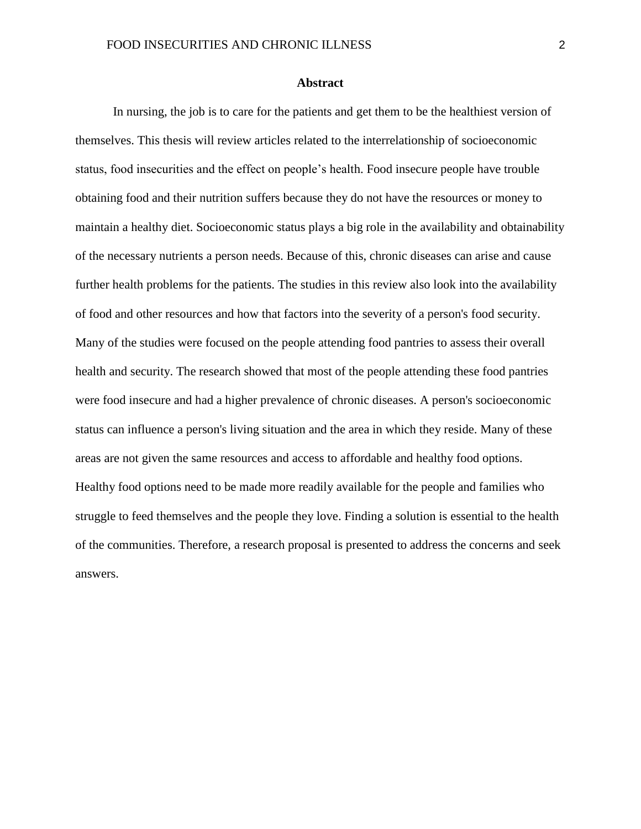#### **Abstract**

<span id="page-2-0"></span>In nursing, the job is to care for the patients and get them to be the healthiest version of themselves. This thesis will review articles related to the interrelationship of socioeconomic status, food insecurities and the effect on people's health. Food insecure people have trouble obtaining food and their nutrition suffers because they do not have the resources or money to maintain a healthy diet. Socioeconomic status plays a big role in the availability and obtainability of the necessary nutrients a person needs. Because of this, chronic diseases can arise and cause further health problems for the patients. The studies in this review also look into the availability of food and other resources and how that factors into the severity of a person's food security. Many of the studies were focused on the people attending food pantries to assess their overall health and security. The research showed that most of the people attending these food pantries were food insecure and had a higher prevalence of chronic diseases. A person's socioeconomic status can influence a person's living situation and the area in which they reside. Many of these areas are not given the same resources and access to affordable and healthy food options. Healthy food options need to be made more readily available for the people and families who struggle to feed themselves and the people they love. Finding a solution is essential to the health of the communities. Therefore, a research proposal is presented to address the concerns and seek answers.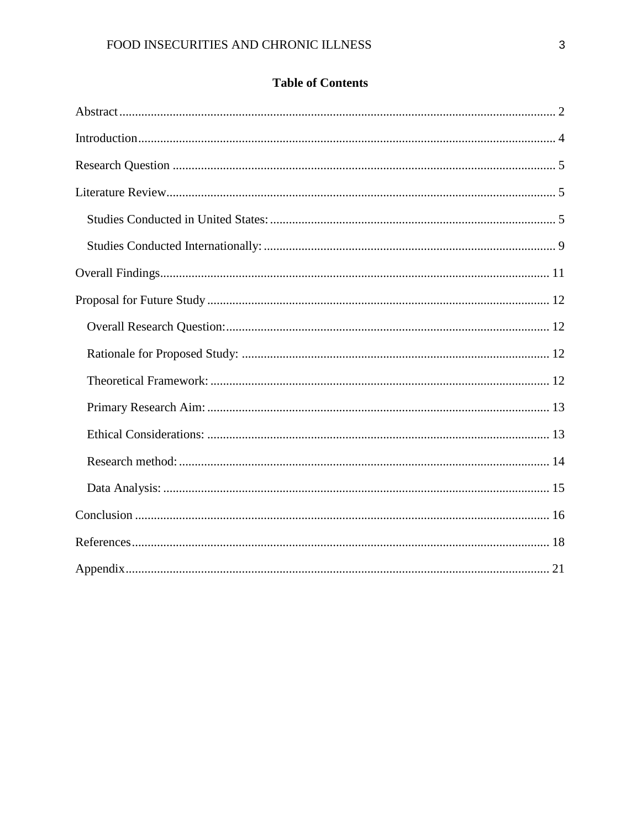# **Table of Contents**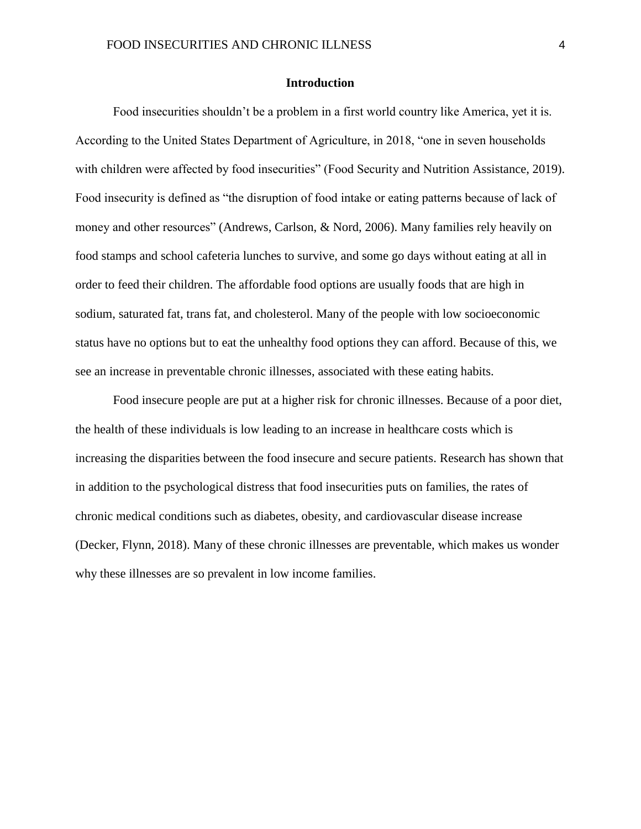#### **Introduction**

<span id="page-4-0"></span>Food insecurities shouldn't be a problem in a first world country like America, yet it is. According to the United States Department of Agriculture, in 2018, "one in seven households with children were affected by food insecurities" (Food Security and Nutrition Assistance, 2019). Food insecurity is defined as "the disruption of food intake or eating patterns because of lack of money and other resources" (Andrews, Carlson, & Nord, 2006). Many families rely heavily on food stamps and school cafeteria lunches to survive, and some go days without eating at all in order to feed their children. The affordable food options are usually foods that are high in sodium, saturated fat, trans fat, and cholesterol. Many of the people with low socioeconomic status have no options but to eat the unhealthy food options they can afford. Because of this, we see an increase in preventable chronic illnesses, associated with these eating habits.

Food insecure people are put at a higher risk for chronic illnesses. Because of a poor diet, the health of these individuals is low leading to an increase in healthcare costs which is increasing the disparities between the food insecure and secure patients. Research has shown that in addition to the psychological distress that food insecurities puts on families, the rates of chronic medical conditions such as diabetes, obesity, and cardiovascular disease increase (Decker, Flynn, 2018). Many of these chronic illnesses are preventable, which makes us wonder why these illnesses are so prevalent in low income families.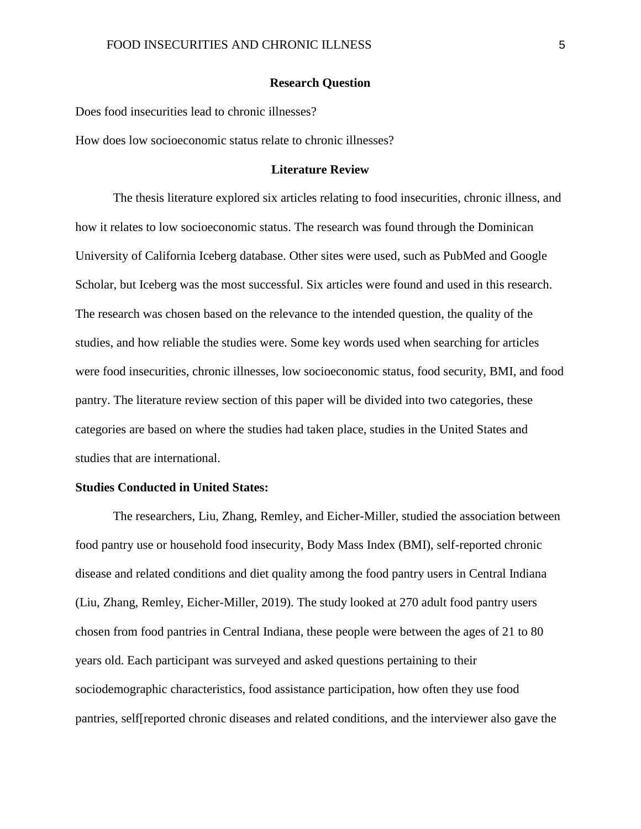#### **Research Question**

<span id="page-5-0"></span>Does food insecurities lead to chronic illnesses?

<span id="page-5-1"></span>How does low socioeconomic status relate to chronic illnesses?

#### **Literature Review**

The thesis literature explored six articles relating to food insecurities, chronic illness, and how it relates to low socioeconomic status. The research was found through the Dominican University of California Iceberg database. Other sites were used, such as PubMed and Google Scholar, but Iceberg was the most successful. Six articles were found and used in this research. The research was chosen based on the relevance to the intended question, the quality of the studies, and how reliable the studies were. Some key words used when searching for articles were food insecurities, chronic illnesses, low socioeconomic status, food security, BMI, and food pantry. The literature review section of this paper will be divided into two categories, these categories are based on where the studies had taken place, studies in the United States and studies that are international.

#### <span id="page-5-2"></span>**Studies Conducted in United States:**

The researchers, Liu, Zhang, Remley, and Eicher-Miller, studied the association between food pantry use or household food insecurity, Body Mass Index (BMI), self-reported chronic disease and related conditions and diet quality among the food pantry users in Central Indiana (Liu, Zhang, Remley, Eicher-Miller, 2019). The study looked at 270 adult food pantry users chosen from food pantries in Central Indiana, these people were between the ages of 21 to 80 years old. Each participant was surveyed and asked questions pertaining to their sociodemographic characteristics, food assistance participation, how often they use food pantries, self[reported chronic diseases and related conditions, and the interviewer also gave the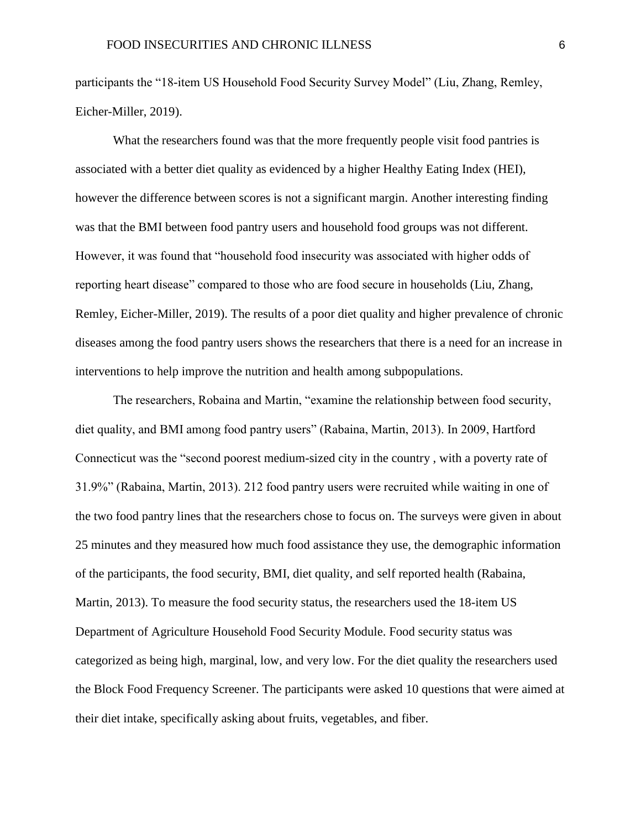participants the "18-item US Household Food Security Survey Model" (Liu, Zhang, Remley, Eicher-Miller, 2019).

What the researchers found was that the more frequently people visit food pantries is associated with a better diet quality as evidenced by a higher Healthy Eating Index (HEI), however the difference between scores is not a significant margin. Another interesting finding was that the BMI between food pantry users and household food groups was not different. However, it was found that "household food insecurity was associated with higher odds of reporting heart disease" compared to those who are food secure in households (Liu, Zhang, Remley, Eicher-Miller, 2019). The results of a poor diet quality and higher prevalence of chronic diseases among the food pantry users shows the researchers that there is a need for an increase in interventions to help improve the nutrition and health among subpopulations.

The researchers, Robaina and Martin, "examine the relationship between food security, diet quality, and BMI among food pantry users" (Rabaina, Martin, 2013). In 2009, Hartford Connecticut was the "second poorest medium-sized city in the country , with a poverty rate of 31.9%" (Rabaina, Martin, 2013). 212 food pantry users were recruited while waiting in one of the two food pantry lines that the researchers chose to focus on. The surveys were given in about 25 minutes and they measured how much food assistance they use, the demographic information of the participants, the food security, BMI, diet quality, and self reported health (Rabaina, Martin, 2013). To measure the food security status, the researchers used the 18-item US Department of Agriculture Household Food Security Module. Food security status was categorized as being high, marginal, low, and very low. For the diet quality the researchers used the Block Food Frequency Screener. The participants were asked 10 questions that were aimed at their diet intake, specifically asking about fruits, vegetables, and fiber.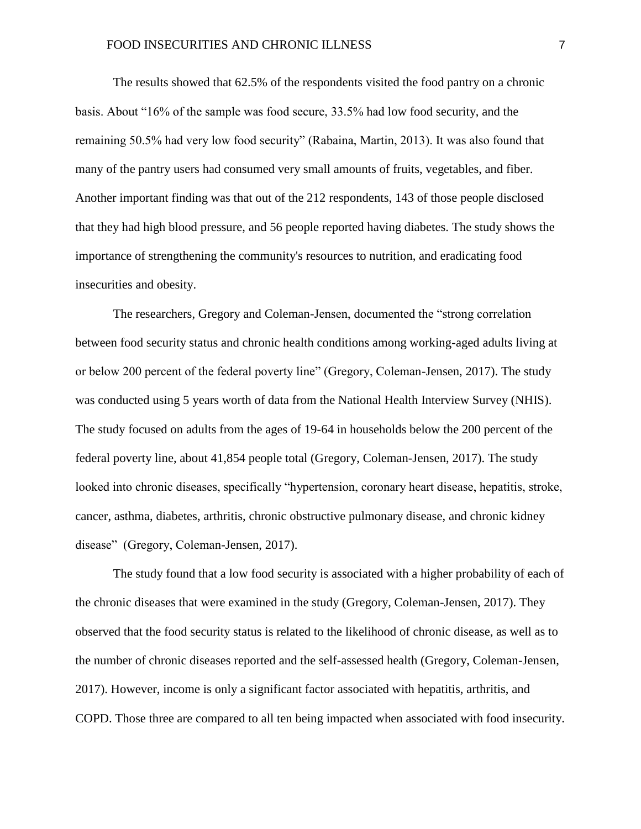The results showed that 62.5% of the respondents visited the food pantry on a chronic basis. About "16% of the sample was food secure, 33.5% had low food security, and the remaining 50.5% had very low food security" (Rabaina, Martin, 2013). It was also found that many of the pantry users had consumed very small amounts of fruits, vegetables, and fiber. Another important finding was that out of the 212 respondents, 143 of those people disclosed that they had high blood pressure, and 56 people reported having diabetes. The study shows the importance of strengthening the community's resources to nutrition, and eradicating food insecurities and obesity.

The researchers, Gregory and Coleman-Jensen, documented the "strong correlation between food security status and chronic health conditions among working-aged adults living at or below 200 percent of the federal poverty line" (Gregory, Coleman-Jensen, 2017). The study was conducted using 5 years worth of data from the National Health Interview Survey (NHIS). The study focused on adults from the ages of 19-64 in households below the 200 percent of the federal poverty line, about 41,854 people total (Gregory, Coleman-Jensen, 2017). The study looked into chronic diseases, specifically "hypertension, coronary heart disease, hepatitis, stroke, cancer, asthma, diabetes, arthritis, chronic obstructive pulmonary disease, and chronic kidney disease" (Gregory, Coleman-Jensen, 2017).

The study found that a low food security is associated with a higher probability of each of the chronic diseases that were examined in the study (Gregory, Coleman-Jensen, 2017). They observed that the food security status is related to the likelihood of chronic disease, as well as to the number of chronic diseases reported and the self-assessed health (Gregory, Coleman-Jensen, 2017). However, income is only a significant factor associated with hepatitis, arthritis, and COPD. Those three are compared to all ten being impacted when associated with food insecurity.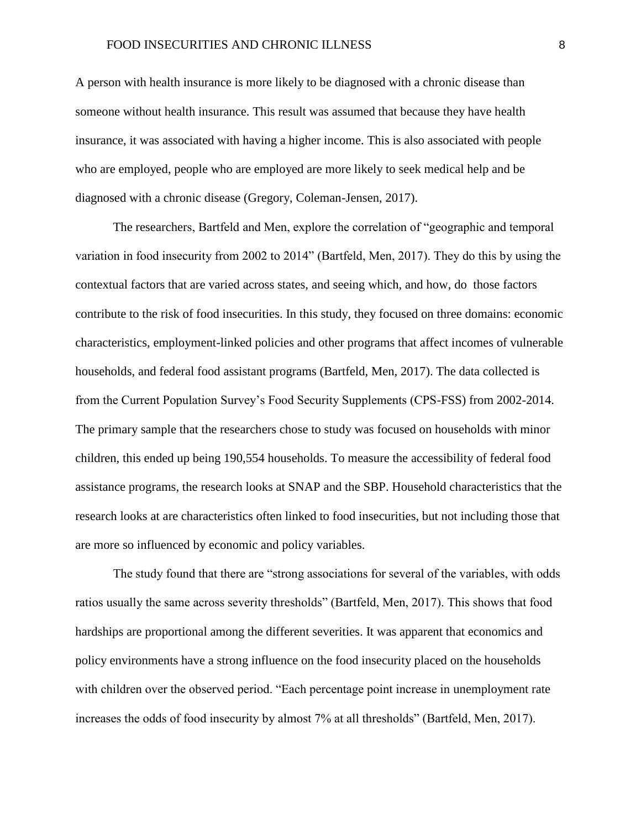A person with health insurance is more likely to be diagnosed with a chronic disease than someone without health insurance. This result was assumed that because they have health insurance, it was associated with having a higher income. This is also associated with people who are employed, people who are employed are more likely to seek medical help and be diagnosed with a chronic disease (Gregory, Coleman-Jensen, 2017).

The researchers, Bartfeld and Men, explore the correlation of "geographic and temporal variation in food insecurity from 2002 to 2014" (Bartfeld, Men, 2017). They do this by using the contextual factors that are varied across states, and seeing which, and how, do those factors contribute to the risk of food insecurities. In this study, they focused on three domains: economic characteristics, employment-linked policies and other programs that affect incomes of vulnerable households, and federal food assistant programs (Bartfeld, Men, 2017). The data collected is from the Current Population Survey's Food Security Supplements (CPS-FSS) from 2002-2014. The primary sample that the researchers chose to study was focused on households with minor children, this ended up being 190,554 households. To measure the accessibility of federal food assistance programs, the research looks at SNAP and the SBP. Household characteristics that the research looks at are characteristics often linked to food insecurities, but not including those that are more so influenced by economic and policy variables.

The study found that there are "strong associations for several of the variables, with odds ratios usually the same across severity thresholds" (Bartfeld, Men, 2017). This shows that food hardships are proportional among the different severities. It was apparent that economics and policy environments have a strong influence on the food insecurity placed on the households with children over the observed period. "Each percentage point increase in unemployment rate increases the odds of food insecurity by almost 7% at all thresholds" (Bartfeld, Men, 2017).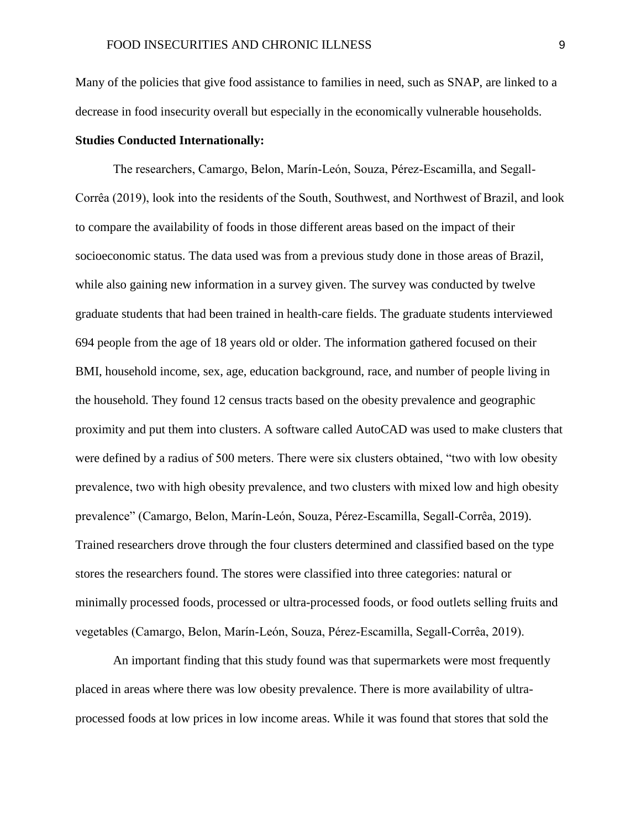Many of the policies that give food assistance to families in need, such as SNAP, are linked to a decrease in food insecurity overall but especially in the economically vulnerable households.

### <span id="page-9-0"></span>**Studies Conducted Internationally:**

The researchers, Camargo, Belon, Marín-León, Souza, Pérez-Escamilla, and Segall-Corrêa (2019), look into the residents of the South, Southwest, and Northwest of Brazil, and look to compare the availability of foods in those different areas based on the impact of their socioeconomic status. The data used was from a previous study done in those areas of Brazil, while also gaining new information in a survey given. The survey was conducted by twelve graduate students that had been trained in health-care fields. The graduate students interviewed 694 people from the age of 18 years old or older. The information gathered focused on their BMI, household income, sex, age, education background, race, and number of people living in the household. They found 12 census tracts based on the obesity prevalence and geographic proximity and put them into clusters. A software called AutoCAD was used to make clusters that were defined by a radius of 500 meters. There were six clusters obtained, "two with low obesity prevalence, two with high obesity prevalence, and two clusters with mixed low and high obesity prevalence" (Camargo, Belon, Marín-León, Souza, Pérez-Escamilla, Segall-Corrêa, 2019). Trained researchers drove through the four clusters determined and classified based on the type stores the researchers found. The stores were classified into three categories: natural or minimally processed foods, processed or ultra-processed foods, or food outlets selling fruits and vegetables (Camargo, Belon, Marín-León, Souza, Pérez-Escamilla, Segall-Corrêa, 2019).

An important finding that this study found was that supermarkets were most frequently placed in areas where there was low obesity prevalence. There is more availability of ultraprocessed foods at low prices in low income areas. While it was found that stores that sold the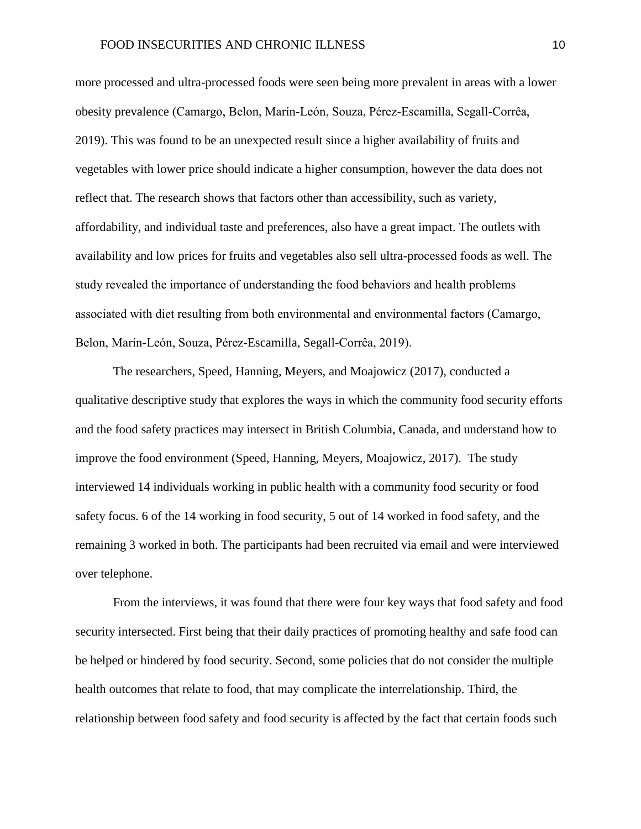more processed and ultra-processed foods were seen being more prevalent in areas with a lower obesity prevalence (Camargo, Belon, Marín-León, Souza, Pérez-Escamilla, Segall-Corrêa, 2019). This was found to be an unexpected result since a higher availability of fruits and vegetables with lower price should indicate a higher consumption, however the data does not reflect that. The research shows that factors other than accessibility, such as variety, affordability, and individual taste and preferences, also have a great impact. The outlets with availability and low prices for fruits and vegetables also sell ultra-processed foods as well. The study revealed the importance of understanding the food behaviors and health problems associated with diet resulting from both environmental and environmental factors (Camargo, Belon, Marín-León, Souza, Pérez-Escamilla, Segall-Corrêa, 2019).

The researchers, Speed, Hanning, Meyers, and Moajowicz (2017), conducted a qualitative descriptive study that explores the ways in which the community food security efforts and the food safety practices may intersect in British Columbia, Canada, and understand how to improve the food environment (Speed, Hanning, Meyers, Moajowicz, 2017). The study interviewed 14 individuals working in public health with a community food security or food safety focus. 6 of the 14 working in food security, 5 out of 14 worked in food safety, and the remaining 3 worked in both. The participants had been recruited via email and were interviewed over telephone.

From the interviews, it was found that there were four key ways that food safety and food security intersected. First being that their daily practices of promoting healthy and safe food can be helped or hindered by food security. Second, some policies that do not consider the multiple health outcomes that relate to food, that may complicate the interrelationship. Third, the relationship between food safety and food security is affected by the fact that certain foods such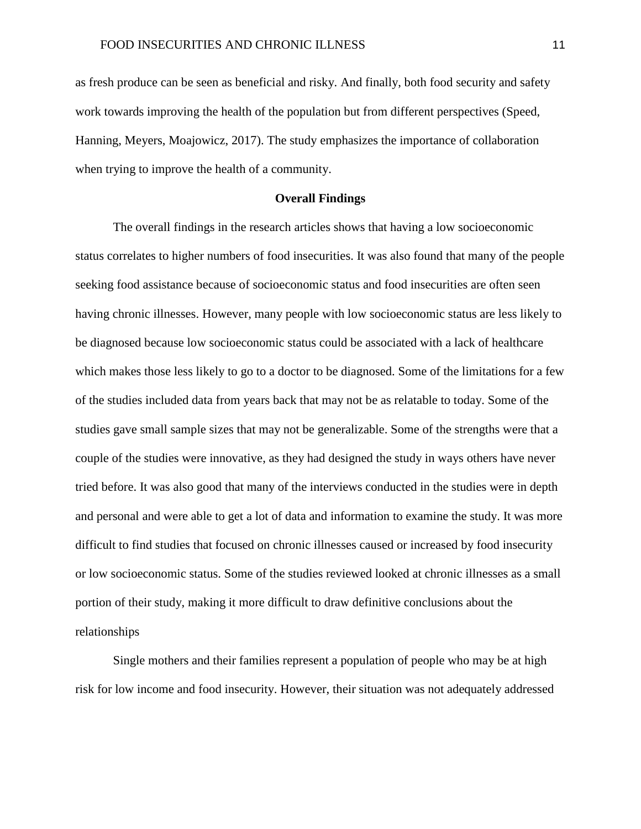as fresh produce can be seen as beneficial and risky. And finally, both food security and safety work towards improving the health of the population but from different perspectives (Speed, Hanning, Meyers, Moajowicz, 2017). The study emphasizes the importance of collaboration when trying to improve the health of a community.

#### **Overall Findings**

<span id="page-11-0"></span>The overall findings in the research articles shows that having a low socioeconomic status correlates to higher numbers of food insecurities. It was also found that many of the people seeking food assistance because of socioeconomic status and food insecurities are often seen having chronic illnesses. However, many people with low socioeconomic status are less likely to be diagnosed because low socioeconomic status could be associated with a lack of healthcare which makes those less likely to go to a doctor to be diagnosed. Some of the limitations for a few of the studies included data from years back that may not be as relatable to today. Some of the studies gave small sample sizes that may not be generalizable. Some of the strengths were that a couple of the studies were innovative, as they had designed the study in ways others have never tried before. It was also good that many of the interviews conducted in the studies were in depth and personal and were able to get a lot of data and information to examine the study. It was more difficult to find studies that focused on chronic illnesses caused or increased by food insecurity or low socioeconomic status. Some of the studies reviewed looked at chronic illnesses as a small portion of their study, making it more difficult to draw definitive conclusions about the relationships

Single mothers and their families represent a population of people who may be at high risk for low income and food insecurity. However, their situation was not adequately addressed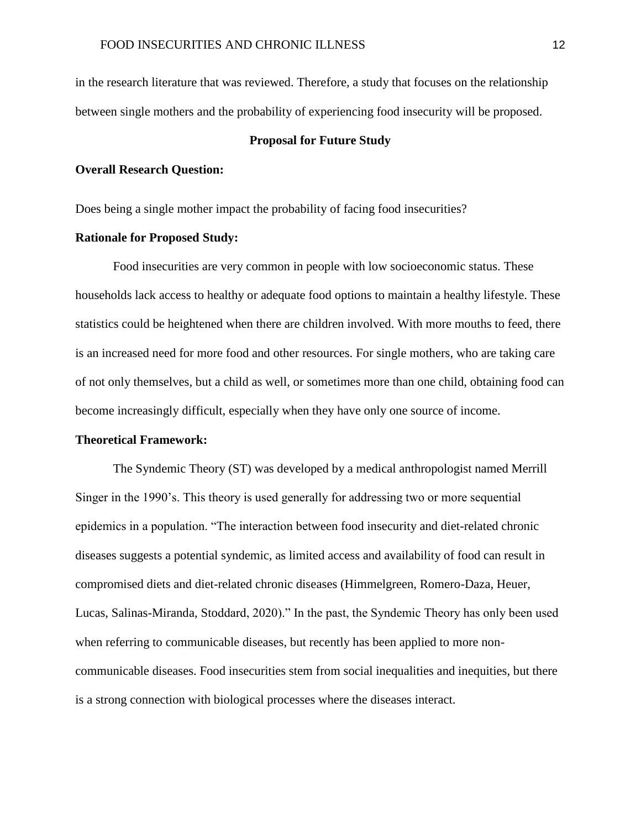in the research literature that was reviewed. Therefore, a study that focuses on the relationship between single mothers and the probability of experiencing food insecurity will be proposed.

#### **Proposal for Future Study**

#### <span id="page-12-1"></span><span id="page-12-0"></span>**Overall Research Question:**

Does being a single mother impact the probability of facing food insecurities?

#### <span id="page-12-2"></span>**Rationale for Proposed Study:**

Food insecurities are very common in people with low socioeconomic status. These households lack access to healthy or adequate food options to maintain a healthy lifestyle. These statistics could be heightened when there are children involved. With more mouths to feed, there is an increased need for more food and other resources. For single mothers, who are taking care of not only themselves, but a child as well, or sometimes more than one child, obtaining food can become increasingly difficult, especially when they have only one source of income.

#### <span id="page-12-3"></span>**Theoretical Framework:**

The Syndemic Theory (ST) was developed by a medical anthropologist named Merrill Singer in the 1990's. This theory is used generally for addressing two or more sequential epidemics in a population. "The interaction between food insecurity and diet-related chronic diseases suggests a potential syndemic, as limited access and availability of food can result in compromised diets and diet-related chronic diseases (Himmelgreen, Romero-Daza, Heuer, Lucas, Salinas-Miranda, Stoddard, 2020)." In the past, the Syndemic Theory has only been used when referring to communicable diseases, but recently has been applied to more noncommunicable diseases. Food insecurities stem from social inequalities and inequities, but there is a strong connection with biological processes where the diseases interact.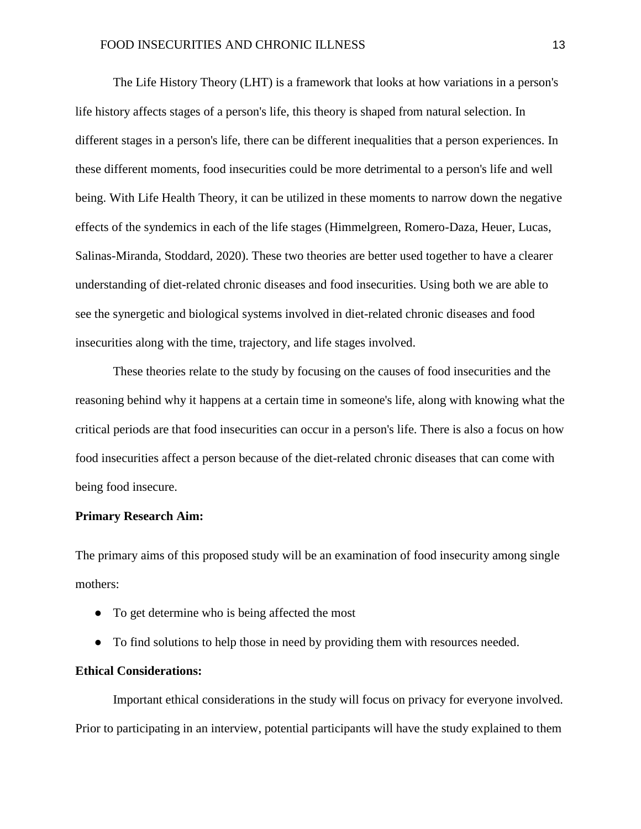The Life History Theory (LHT) is a framework that looks at how variations in a person's life history affects stages of a person's life, this theory is shaped from natural selection. In different stages in a person's life, there can be different inequalities that a person experiences. In these different moments, food insecurities could be more detrimental to a person's life and well being. With Life Health Theory, it can be utilized in these moments to narrow down the negative effects of the syndemics in each of the life stages (Himmelgreen, Romero-Daza, Heuer, Lucas, Salinas-Miranda, Stoddard, 2020). These two theories are better used together to have a clearer understanding of diet-related chronic diseases and food insecurities. Using both we are able to see the synergetic and biological systems involved in diet-related chronic diseases and food insecurities along with the time, trajectory, and life stages involved.

These theories relate to the study by focusing on the causes of food insecurities and the reasoning behind why it happens at a certain time in someone's life, along with knowing what the critical periods are that food insecurities can occur in a person's life. There is also a focus on how food insecurities affect a person because of the diet-related chronic diseases that can come with being food insecure.

#### <span id="page-13-0"></span>**Primary Research Aim:**

The primary aims of this proposed study will be an examination of food insecurity among single mothers:

- To get determine who is being affected the most
- To find solutions to help those in need by providing them with resources needed.

### <span id="page-13-1"></span>**Ethical Considerations:**

Important ethical considerations in the study will focus on privacy for everyone involved. Prior to participating in an interview, potential participants will have the study explained to them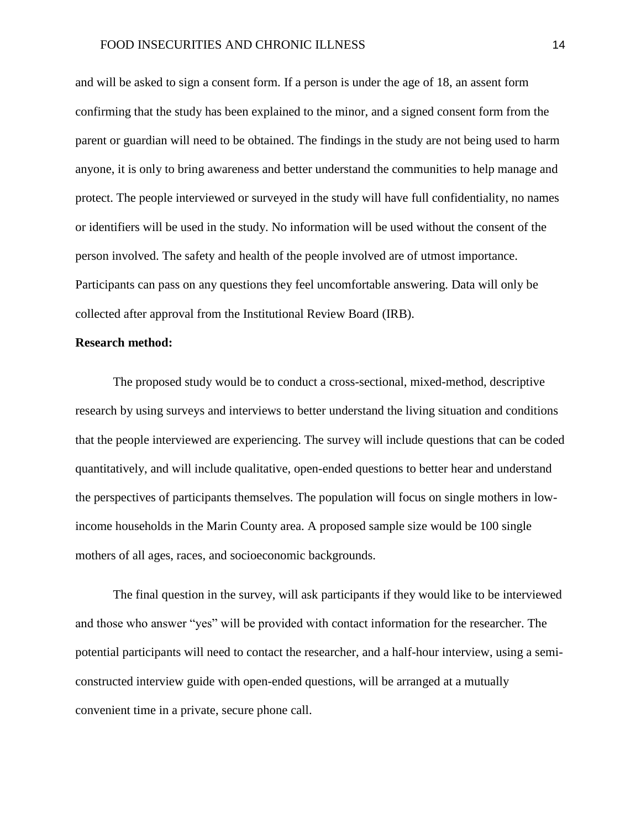and will be asked to sign a consent form. If a person is under the age of 18, an assent form confirming that the study has been explained to the minor, and a signed consent form from the parent or guardian will need to be obtained. The findings in the study are not being used to harm anyone, it is only to bring awareness and better understand the communities to help manage and protect. The people interviewed or surveyed in the study will have full confidentiality, no names or identifiers will be used in the study. No information will be used without the consent of the person involved. The safety and health of the people involved are of utmost importance. Participants can pass on any questions they feel uncomfortable answering. Data will only be collected after approval from the Institutional Review Board (IRB).

#### <span id="page-14-0"></span>**Research method:**

The proposed study would be to conduct a cross-sectional, mixed-method, descriptive research by using surveys and interviews to better understand the living situation and conditions that the people interviewed are experiencing. The survey will include questions that can be coded quantitatively, and will include qualitative, open-ended questions to better hear and understand the perspectives of participants themselves. The population will focus on single mothers in lowincome households in the Marin County area. A proposed sample size would be 100 single mothers of all ages, races, and socioeconomic backgrounds.

The final question in the survey, will ask participants if they would like to be interviewed and those who answer "yes" will be provided with contact information for the researcher. The potential participants will need to contact the researcher, and a half-hour interview, using a semiconstructed interview guide with open-ended questions, will be arranged at a mutually convenient time in a private, secure phone call.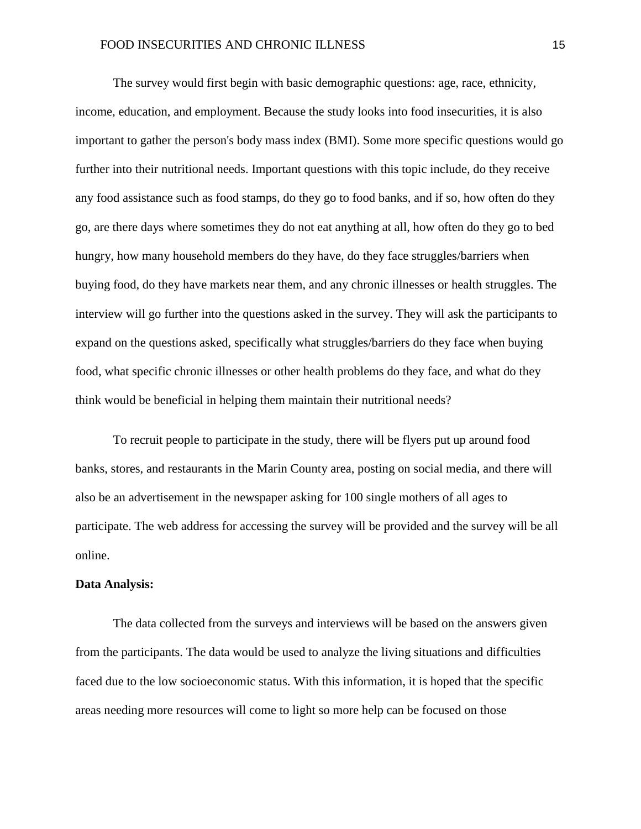The survey would first begin with basic demographic questions: age, race, ethnicity, income, education, and employment. Because the study looks into food insecurities, it is also important to gather the person's body mass index (BMI). Some more specific questions would go further into their nutritional needs. Important questions with this topic include, do they receive any food assistance such as food stamps, do they go to food banks, and if so, how often do they go, are there days where sometimes they do not eat anything at all, how often do they go to bed hungry, how many household members do they have, do they face struggles/barriers when buying food, do they have markets near them, and any chronic illnesses or health struggles. The interview will go further into the questions asked in the survey. They will ask the participants to expand on the questions asked, specifically what struggles/barriers do they face when buying food, what specific chronic illnesses or other health problems do they face, and what do they think would be beneficial in helping them maintain their nutritional needs?

To recruit people to participate in the study, there will be flyers put up around food banks, stores, and restaurants in the Marin County area, posting on social media, and there will also be an advertisement in the newspaper asking for 100 single mothers of all ages to participate. The web address for accessing the survey will be provided and the survey will be all online.

### <span id="page-15-0"></span>**Data Analysis:**

The data collected from the surveys and interviews will be based on the answers given from the participants. The data would be used to analyze the living situations and difficulties faced due to the low socioeconomic status. With this information, it is hoped that the specific areas needing more resources will come to light so more help can be focused on those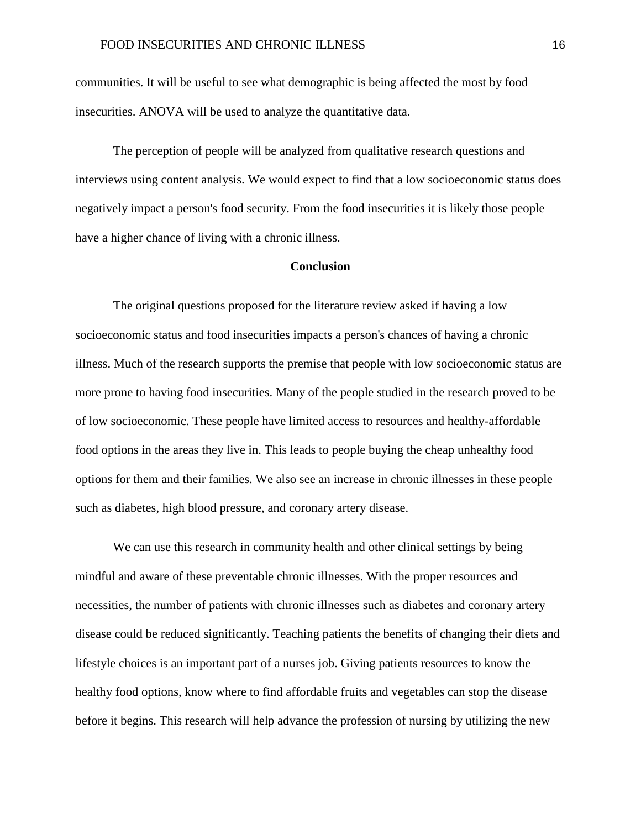communities. It will be useful to see what demographic is being affected the most by food insecurities. ANOVA will be used to analyze the quantitative data.

The perception of people will be analyzed from qualitative research questions and interviews using content analysis. We would expect to find that a low socioeconomic status does negatively impact a person's food security. From the food insecurities it is likely those people have a higher chance of living with a chronic illness.

### **Conclusion**

<span id="page-16-0"></span>The original questions proposed for the literature review asked if having a low socioeconomic status and food insecurities impacts a person's chances of having a chronic illness. Much of the research supports the premise that people with low socioeconomic status are more prone to having food insecurities. Many of the people studied in the research proved to be of low socioeconomic. These people have limited access to resources and healthy-affordable food options in the areas they live in. This leads to people buying the cheap unhealthy food options for them and their families. We also see an increase in chronic illnesses in these people such as diabetes, high blood pressure, and coronary artery disease.

We can use this research in community health and other clinical settings by being mindful and aware of these preventable chronic illnesses. With the proper resources and necessities, the number of patients with chronic illnesses such as diabetes and coronary artery disease could be reduced significantly. Teaching patients the benefits of changing their diets and lifestyle choices is an important part of a nurses job. Giving patients resources to know the healthy food options, know where to find affordable fruits and vegetables can stop the disease before it begins. This research will help advance the profession of nursing by utilizing the new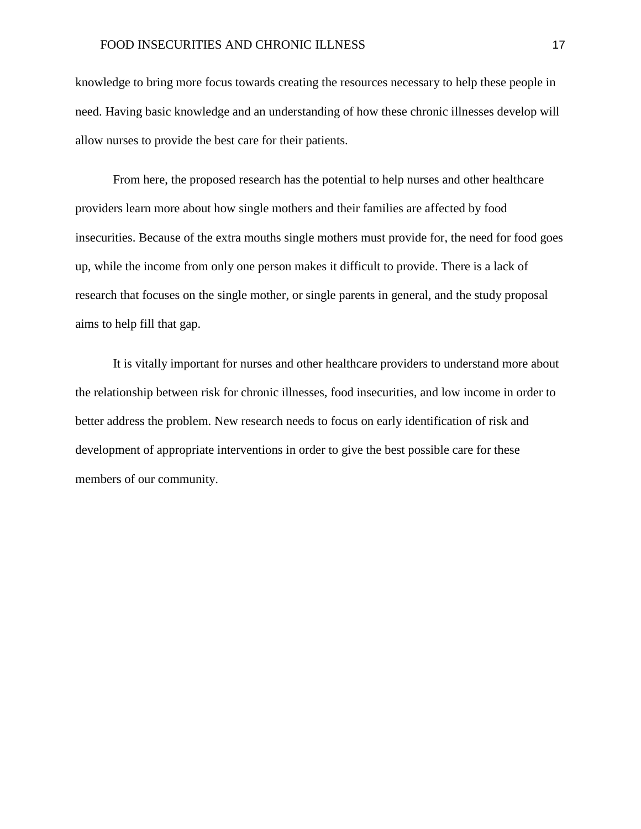knowledge to bring more focus towards creating the resources necessary to help these people in need. Having basic knowledge and an understanding of how these chronic illnesses develop will allow nurses to provide the best care for their patients.

From here, the proposed research has the potential to help nurses and other healthcare providers learn more about how single mothers and their families are affected by food insecurities. Because of the extra mouths single mothers must provide for, the need for food goes up, while the income from only one person makes it difficult to provide. There is a lack of research that focuses on the single mother, or single parents in general, and the study proposal aims to help fill that gap.

It is vitally important for nurses and other healthcare providers to understand more about the relationship between risk for chronic illnesses, food insecurities, and low income in order to better address the problem. New research needs to focus on early identification of risk and development of appropriate interventions in order to give the best possible care for these members of our community.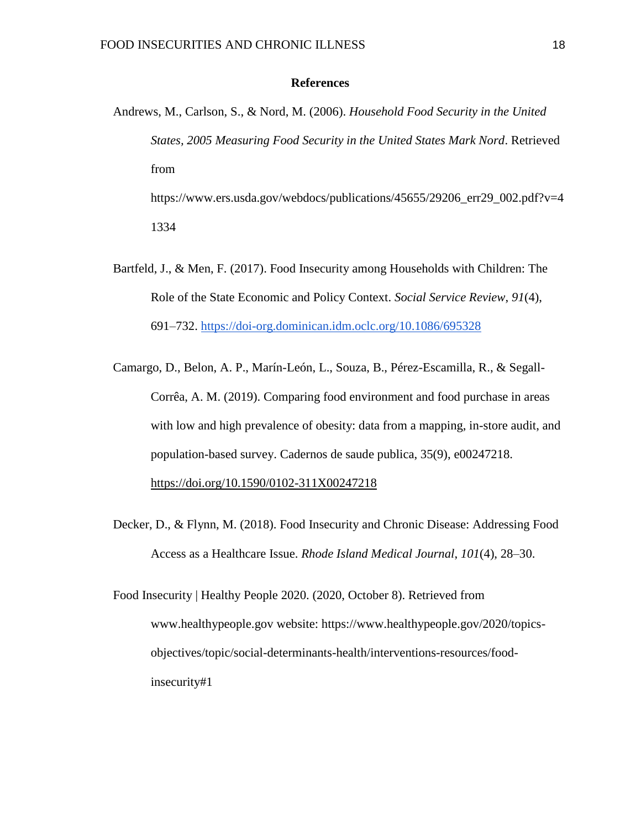#### **References**

- <span id="page-18-0"></span>Andrews, M., Carlson, S., & Nord, M. (2006). *Household Food Security in the United States, 2005 Measuring Food Security in the United States Mark Nord*. Retrieved from https://www.ers.usda.gov/webdocs/publications/45655/29206\_err29\_002.pdf?v=4 1334
- Bartfeld, J., & Men, F. (2017). Food Insecurity among Households with Children: The Role of the State Economic and Policy Context. *Social Service Review*, *91*(4), 691–732.<https://doi-org.dominican.idm.oclc.org/10.1086/695328>
- Camargo, D., Belon, A. P., Marín-León, L., Souza, B., Pérez-Escamilla, R., & Segall-Corrêa, A. M. (2019). Comparing food environment and food purchase in areas with low and high prevalence of obesity: data from a mapping, in-store audit, and population-based survey. Cadernos de saude publica, 35(9), e00247218. <https://doi.org/10.1590/0102-311X00247218>
- Decker, D., & Flynn, M. (2018). Food Insecurity and Chronic Disease: Addressing Food Access as a Healthcare Issue. *Rhode Island Medical Journal*, *101*(4), 28–30.
- Food Insecurity | Healthy People 2020. (2020, October 8). Retrieved from www.healthypeople.gov website: https://www.healthypeople.gov/2020/topicsobjectives/topic/social-determinants-health/interventions-resources/foodinsecurity#1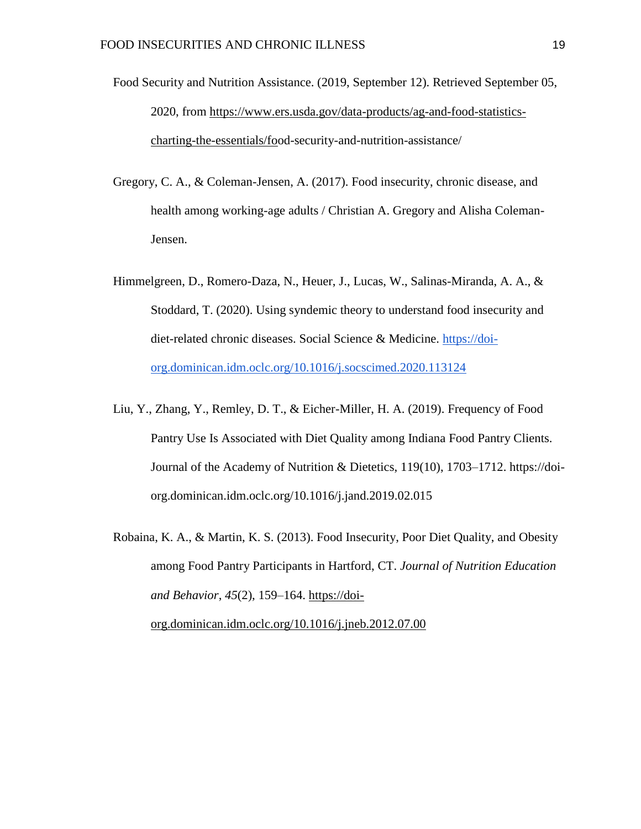- Food Security and Nutrition Assistance. (2019, September 12). Retrieved September 05, 2020, from [https://www.ers.usda.gov/data-products/ag-and-food-statistics](https://www.ers.usda.gov/data-products/ag-and-food-statistics-charting-the-essentials/food-security-and-nutrition-assistance/)[charting-the-essentials/food-security-and-nutrition-assistance/](https://www.ers.usda.gov/data-products/ag-and-food-statistics-charting-the-essentials/food-security-and-nutrition-assistance/)
- Gregory, C. A., & Coleman-Jensen, A. (2017). Food insecurity, chronic disease, and health among working-age adults / Christian A. Gregory and Alisha Coleman-Jensen.
- Himmelgreen, D., Romero-Daza, N., Heuer, J., Lucas, W., Salinas-Miranda, A. A., & Stoddard, T. (2020). Using syndemic theory to understand food insecurity and diet-related chronic diseases. Social Science & Medicine. [https://doi](https://doi-org.dominican.idm.oclc.org/10.1016/j.socscimed.2020.113124)[org.dominican.idm.oclc.org/10.1016/j.socscimed.2020.113124](https://doi-org.dominican.idm.oclc.org/10.1016/j.socscimed.2020.113124)
- Liu, Y., Zhang, Y., Remley, D. T., & Eicher-Miller, H. A. (2019). Frequency of Food Pantry Use Is Associated with Diet Quality among Indiana Food Pantry Clients. Journal of the Academy of Nutrition & Dietetics, 119(10), 1703–1712. https://doiorg.dominican.idm.oclc.org/10.1016/j.jand.2019.02.015
- Robaina, K. A., & Martin, K. S. (2013). Food Insecurity, Poor Diet Quality, and Obesity among Food Pantry Participants in Hartford, CT. *Journal of Nutrition Education and Behavior*, *45*(2), 159–164. [https://doi](https://doi-org.dominican.idm.oclc.org/10.1016/j.jneb.2012.07.00)[org.dominican.idm.oclc.org/10.1016/j.jneb.2012.07.00](https://doi-org.dominican.idm.oclc.org/10.1016/j.jneb.2012.07.00)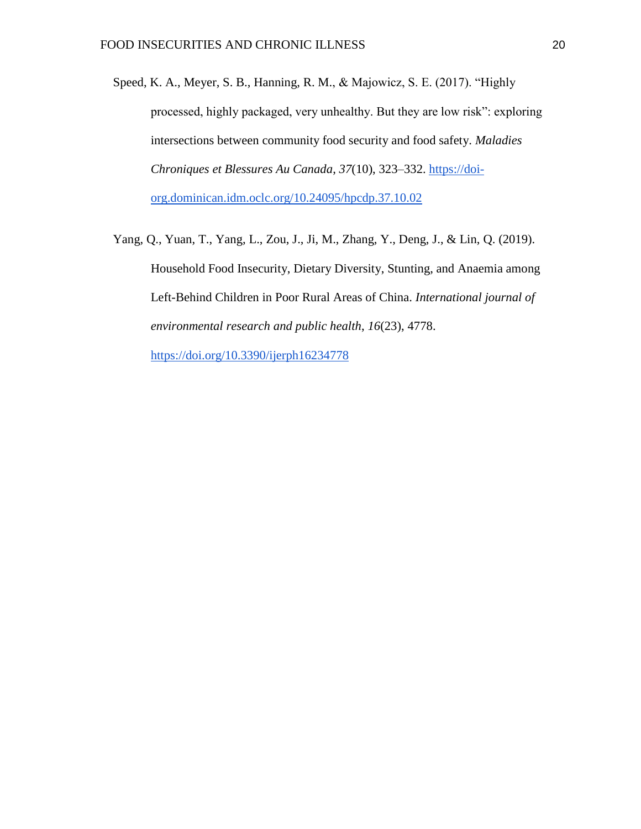- Speed, K. A., Meyer, S. B., Hanning, R. M., & Majowicz, S. E. (2017). "Highly processed, highly packaged, very unhealthy. But they are low risk": exploring intersections between community food security and food safety. *Maladies Chroniques et Blessures Au Canada*, *37*(10), 323–332. [https://doi](https://doi-org.dominican.idm.oclc.org/10.24095/hpcdp.37.10.02)[org.dominican.idm.oclc.org/10.24095/hpcdp.37.10.02](https://doi-org.dominican.idm.oclc.org/10.24095/hpcdp.37.10.02)
- <span id="page-20-0"></span>Yang, Q., Yuan, T., Yang, L., Zou, J., Ji, M., Zhang, Y., Deng, J., & Lin, Q. (2019). Household Food Insecurity, Dietary Diversity, Stunting, and Anaemia among Left-Behind Children in Poor Rural Areas of China. *International journal of environmental research and public health*, *16*(23), 4778. <https://doi.org/10.3390/ijerph16234778>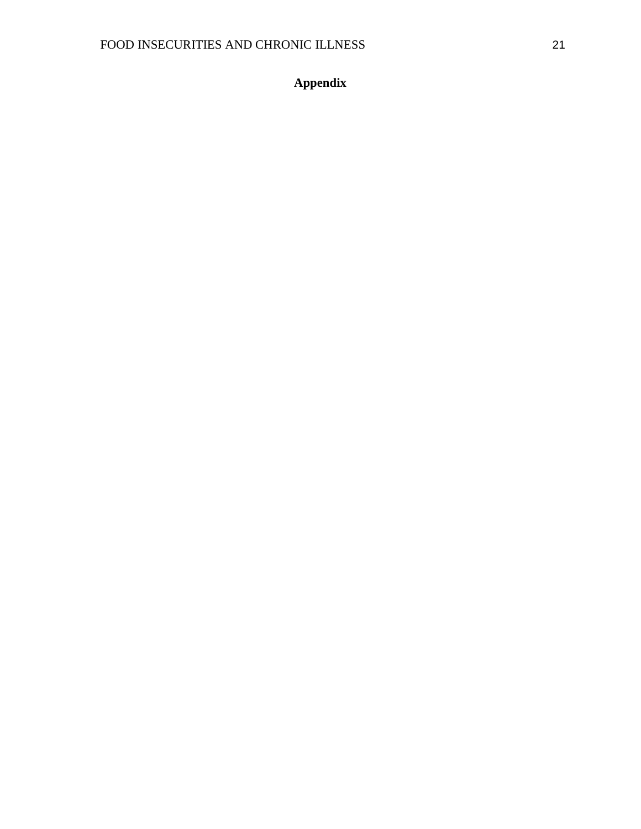**Appendix**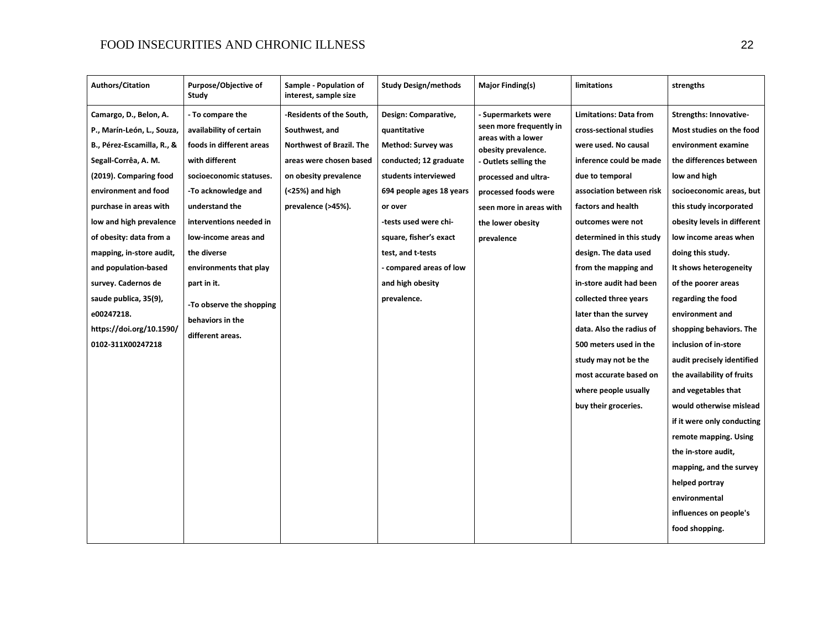| <b>Authors/Citation</b>                                                                                                                                                                                                                                                                                                                                                                                         | Purpose/Objective of<br>Study                                                                                                                                                                                                                                                                                                                | Sample - Population of<br>interest, sample size                                                                                                                          | <b>Study Design/methods</b>                                                                                                                                                                                                                                                                      | Major Finding(s)                                                                                                                                                                                                                        | limitations                                                                                                                                                                                                                                                                                                                                                                                                                                   | strengths                                                                                                                                                                                                                                                                                                                                                                                                                                   |
|-----------------------------------------------------------------------------------------------------------------------------------------------------------------------------------------------------------------------------------------------------------------------------------------------------------------------------------------------------------------------------------------------------------------|----------------------------------------------------------------------------------------------------------------------------------------------------------------------------------------------------------------------------------------------------------------------------------------------------------------------------------------------|--------------------------------------------------------------------------------------------------------------------------------------------------------------------------|--------------------------------------------------------------------------------------------------------------------------------------------------------------------------------------------------------------------------------------------------------------------------------------------------|-----------------------------------------------------------------------------------------------------------------------------------------------------------------------------------------------------------------------------------------|-----------------------------------------------------------------------------------------------------------------------------------------------------------------------------------------------------------------------------------------------------------------------------------------------------------------------------------------------------------------------------------------------------------------------------------------------|---------------------------------------------------------------------------------------------------------------------------------------------------------------------------------------------------------------------------------------------------------------------------------------------------------------------------------------------------------------------------------------------------------------------------------------------|
| Camargo, D., Belon, A.<br>P., Marín-León, L., Souza,<br>B., Pérez-Escamilla, R., &<br>Segall-Corrêa, A. M.<br>(2019). Comparing food<br>environment and food<br>purchase in areas with<br>low and high prevalence<br>of obesity: data from a<br>mapping, in-store audit,<br>and population-based<br>survey. Cadernos de<br>saude publica, 35(9),<br>e00247218.<br>https://doi.org/10.1590/<br>0102-311X00247218 | - To compare the<br>availability of certain<br>foods in different areas<br>with different<br>socioeconomic statuses.<br>-To acknowledge and<br>understand the<br>interventions needed in<br>low-income areas and<br>the diverse<br>environments that play<br>part in it.<br>-To observe the shopping<br>behaviors in the<br>different areas. | -Residents of the South,<br>Southwest, and<br>Northwest of Brazil. The<br>areas were chosen based<br>on obesity prevalence<br>$( < 25\%)$ and high<br>prevalence (>45%). | Design: Comparative,<br>quantitative<br><b>Method: Survey was</b><br>conducted; 12 graduate<br>students interviewed<br>694 people ages 18 years<br>or over<br>-tests used were chi-<br>square, fisher's exact<br>test, and t-tests<br>- compared areas of low<br>and high obesity<br>prevalence. | <b>Supermarkets were</b><br>seen more frequently in<br>areas with a lower<br>obesity prevalence.<br>- Outlets selling the<br>processed and ultra-<br>processed foods were<br>seen more in areas with<br>the lower obesity<br>prevalence | <b>Limitations: Data from</b><br>cross-sectional studies<br>were used. No causal<br>inference could be made<br>due to temporal<br>association between risk<br>factors and health<br>outcomes were not<br>determined in this study<br>design. The data used<br>from the mapping and<br>in-store audit had been<br>collected three years<br>later than the survey<br>data. Also the radius of<br>500 meters used in the<br>study may not be the | <b>Strengths: Innovative-</b><br>Most studies on the food<br>environment examine<br>the differences between<br>low and high<br>socioeconomic areas, but<br>this study incorporated<br>obesity levels in different<br>low income areas when<br>doing this study.<br>It shows heterogeneity<br>of the poorer areas<br>regarding the food<br>environment and<br>shopping behaviors. The<br>inclusion of in-store<br>audit precisely identified |
|                                                                                                                                                                                                                                                                                                                                                                                                                 |                                                                                                                                                                                                                                                                                                                                              |                                                                                                                                                                          |                                                                                                                                                                                                                                                                                                  |                                                                                                                                                                                                                                         | most accurate based on<br>where people usually<br>buy their groceries.                                                                                                                                                                                                                                                                                                                                                                        | the availability of fruits<br>and vegetables that<br>would otherwise mislead<br>if it were only conducting<br>remote mapping. Using<br>the in-store audit,<br>mapping, and the survey<br>helped portray<br>environmental<br>influences on people's<br>food shopping.                                                                                                                                                                        |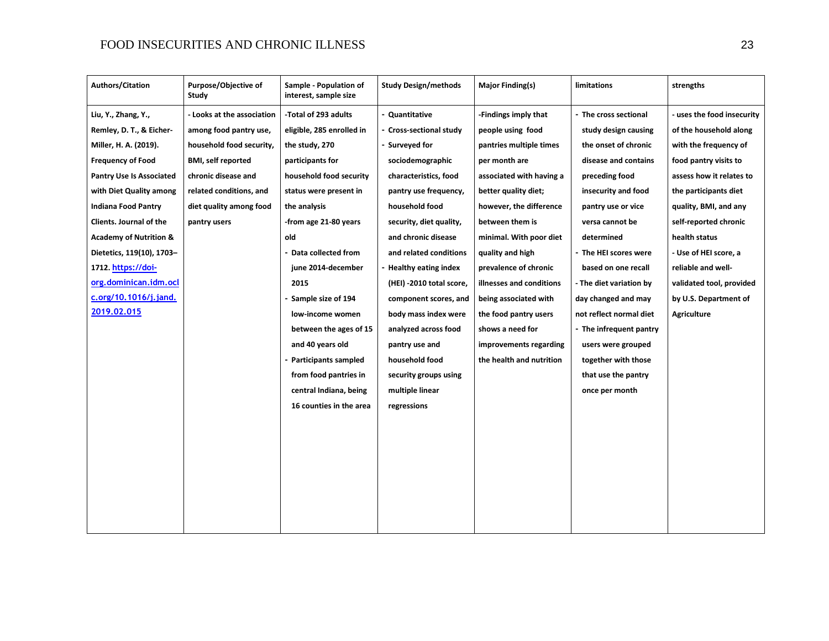| <b>Authors/Citation</b>           | Purpose/Objective of<br>Study | Sample - Population of<br>interest, sample size | <b>Study Design/methods</b> | <b>Major Finding(s)</b>  | limitations             | strengths                |
|-----------------------------------|-------------------------------|-------------------------------------------------|-----------------------------|--------------------------|-------------------------|--------------------------|
| Liu, Y., Zhang, Y.,               | - Looks at the association    | -Total of 293 adults                            | Quantitative                | -Findings imply that     | - The cross sectional   | uses the food insecurity |
| Remley, D. T., & Eicher-          | among food pantry use,        | eligible, 285 enrolled in                       | - Cross-sectional study     | people using food        | study design causing    | of the household along   |
| Miller, H. A. (2019).             | household food security,      | the study, 270                                  | - Surveyed for              | pantries multiple times  | the onset of chronic    | with the frequency of    |
| <b>Frequency of Food</b>          | <b>BMI, self reported</b>     | participants for                                | sociodemographic            | per month are            | disease and contains    | food pantry visits to    |
| <b>Pantry Use Is Associated</b>   | chronic disease and           | household food security                         | characteristics, food       | associated with having a | preceding food          | assess how it relates to |
| with Diet Quality among           | related conditions, and       | status were present in                          | pantry use frequency,       | better quality diet;     | insecurity and food     | the participants diet    |
| <b>Indiana Food Pantry</b>        | diet quality among food       | the analysis                                    | household food              | however, the difference  | pantry use or vice      | quality, BMI, and any    |
| Clients. Journal of the           | pantry users                  | -from age 21-80 years                           | security, diet quality,     | between them is          | versa cannot be         | self-reported chronic    |
| <b>Academy of Nutrition &amp;</b> |                               | old                                             | and chronic disease         | minimal. With poor diet  | determined              | health status            |
| Dietetics, 119(10), 1703-         |                               | Data collected from                             | and related conditions      | quality and high         | - The HEI scores were   | - Use of HEI score, a    |
| 1712. https://doi-                |                               | june 2014-december                              | - Healthy eating index      | prevalence of chronic    | based on one recall     | reliable and well-       |
| org.dominican.idm.ocl             |                               | 2015                                            | (HEI) -2010 total score,    | illnesses and conditions | - The diet variation by | validated tool, provided |
| c.org/10.1016/j.jand.             |                               | Sample size of 194                              | component scores, and       | being associated with    | day changed and may     | by U.S. Department of    |
| 2019.02.015                       |                               | low-income women                                | body mass index were        | the food pantry users    | not reflect normal diet | <b>Agriculture</b>       |
|                                   |                               | between the ages of 15                          | analyzed across food        | shows a need for         | - The infrequent pantry |                          |
|                                   |                               | and 40 years old                                | pantry use and              | improvements regarding   | users were grouped      |                          |
|                                   |                               | <b>Participants sampled</b>                     | household food              | the health and nutrition | together with those     |                          |
|                                   |                               | from food pantries in                           | security groups using       |                          | that use the pantry     |                          |
|                                   |                               | central Indiana, being                          | multiple linear             |                          | once per month          |                          |
|                                   |                               | 16 counties in the area                         | regressions                 |                          |                         |                          |
|                                   |                               |                                                 |                             |                          |                         |                          |
|                                   |                               |                                                 |                             |                          |                         |                          |
|                                   |                               |                                                 |                             |                          |                         |                          |
|                                   |                               |                                                 |                             |                          |                         |                          |
|                                   |                               |                                                 |                             |                          |                         |                          |
|                                   |                               |                                                 |                             |                          |                         |                          |
|                                   |                               |                                                 |                             |                          |                         |                          |
|                                   |                               |                                                 |                             |                          |                         |                          |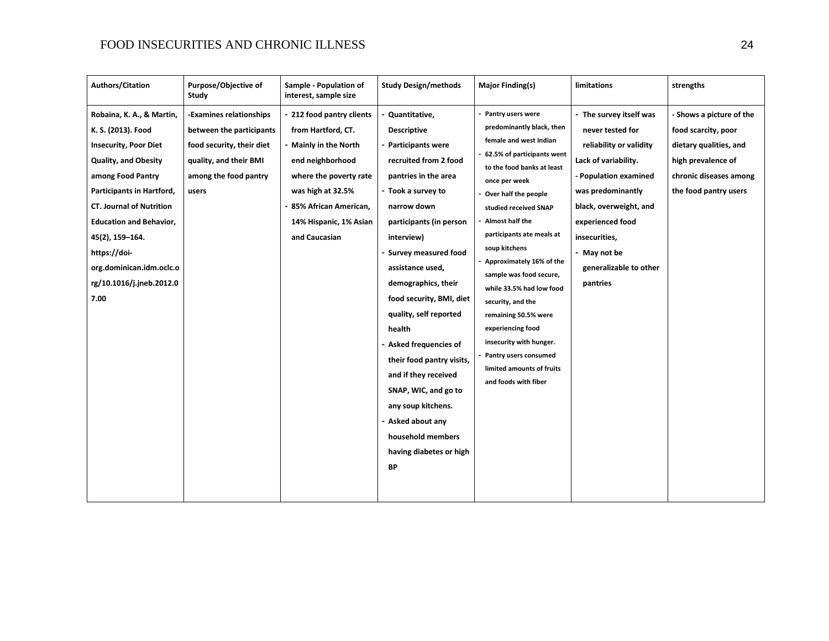| <b>Authors/Citation</b>                                                                                                                                                                                                                                                                                                                  | Purpose/Objective of<br>Study                                                                                                                | Sample - Population of<br>interest, sample size                                                                                                                                                                    | <b>Study Design/methods</b>                                                                                                                                                                                                                                                                                                                                                                                                                                                                                                                      | <b>Major Finding(s)</b>                                                                                                                                                                                                                                                                                                                                                                                                                                                                                                               | limitations                                                                                                                                                                                                                                                       | strengths                                                                                                                                          |
|------------------------------------------------------------------------------------------------------------------------------------------------------------------------------------------------------------------------------------------------------------------------------------------------------------------------------------------|----------------------------------------------------------------------------------------------------------------------------------------------|--------------------------------------------------------------------------------------------------------------------------------------------------------------------------------------------------------------------|--------------------------------------------------------------------------------------------------------------------------------------------------------------------------------------------------------------------------------------------------------------------------------------------------------------------------------------------------------------------------------------------------------------------------------------------------------------------------------------------------------------------------------------------------|---------------------------------------------------------------------------------------------------------------------------------------------------------------------------------------------------------------------------------------------------------------------------------------------------------------------------------------------------------------------------------------------------------------------------------------------------------------------------------------------------------------------------------------|-------------------------------------------------------------------------------------------------------------------------------------------------------------------------------------------------------------------------------------------------------------------|----------------------------------------------------------------------------------------------------------------------------------------------------|
| Robaina, K. A., & Martin,<br>K. S. (2013). Food<br><b>Insecurity, Poor Diet</b><br><b>Quality, and Obesity</b><br>among Food Pantry<br>Participants in Hartford,<br><b>CT. Journal of Nutrition</b><br><b>Education and Behavior,</b><br>45(2), 159-164.<br>https://doi-<br>org.dominican.idm.oclc.o<br>rg/10.1016/j.jneb.2012.0<br>7.00 | -Examines relationships<br>between the participants<br>food security, their diet<br>quality, and their BMI<br>among the food pantry<br>users | 212 food pantry clients<br>from Hartford, CT.<br><b>Mainly in the North</b><br>end neighborhood<br>where the poverty rate<br>was high at 32.5%<br>85% African American,<br>14% Hispanic, 1% Asian<br>and Caucasian | Quantitative,<br><b>Descriptive</b><br>- Participants were<br>recruited from 2 food<br>pantries in the area<br>- Took a survey to<br>narrow down<br>participants (in person<br>interview)<br><b>Survey measured food</b><br>assistance used,<br>demographics, their<br>food security, BMI, diet<br>quality, self reported<br>health<br>- Asked frequencies of<br>their food pantry visits,<br>and if they received<br>SNAP, WIC, and go to<br>any soup kitchens.<br>Asked about any<br>household members<br>having diabetes or high<br><b>BP</b> | Pantry users were<br>predominantly black, then<br>female and west Indian<br>62.5% of participants went<br>to the food banks at least<br>once per week<br>Over half the people<br>studied received SNAP<br>Almost half the<br>participants ate meals at<br>soup kitchens<br>Approximately 16% of the<br>sample was food secure,<br>while 33.5% had low food<br>security, and the<br>remaining 50.5% were<br>experiencing food<br>insecurity with hunger.<br>Pantry users consumed<br>limited amounts of fruits<br>and foods with fiber | - The survey itself was<br>never tested for<br>reliability or validity<br>Lack of variability.<br>- Population examined<br>was predominantly<br>black, overweight, and<br>experienced food<br>insecurities,<br>- May not be<br>generalizable to other<br>pantries | - Shows a picture of the<br>food scarcity, poor<br>dietary qualities, and<br>high prevalence of<br>chronic diseases among<br>the food pantry users |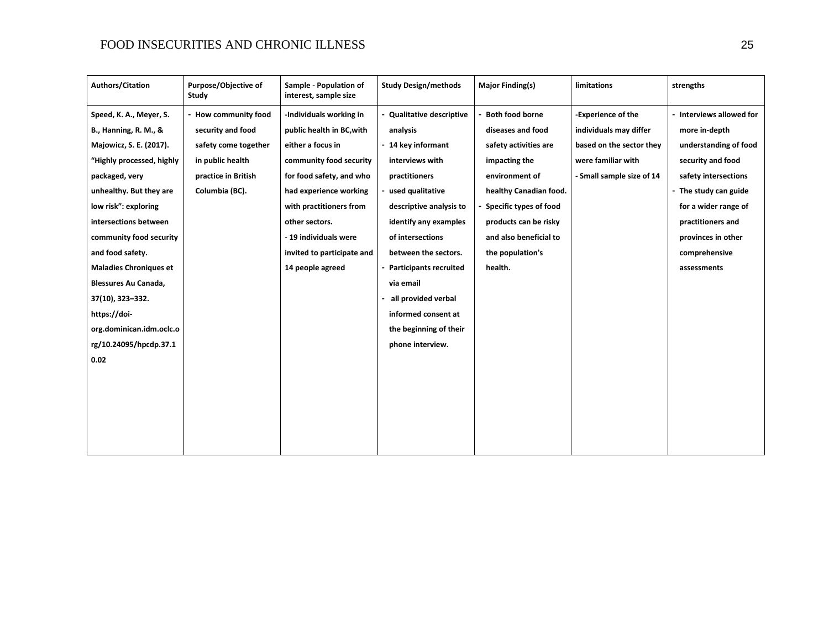| <b>Authors/Citation</b>          | Purpose/Objective of<br>Study | Sample - Population of<br>interest, sample size | <b>Study Design/methods</b>    | <b>Major Finding(s)</b> | limitations               | strengths                |
|----------------------------------|-------------------------------|-------------------------------------------------|--------------------------------|-------------------------|---------------------------|--------------------------|
| Speed, K. A., Meyer, S.          | - How community food          | -Individuals working in                         | <b>Qualitative descriptive</b> | <b>Both food borne</b>  | -Experience of the        | - Interviews allowed for |
| <b>B., Hanning, R. M., &amp;</b> | security and food             | public health in BC, with                       | analysis                       | diseases and food       | individuals may differ    | more in-depth            |
| Majowicz, S. E. (2017).          | safety come together          | either a focus in                               | - 14 key informant             | safety activities are   | based on the sector they  | understanding of food    |
| "Highly processed, highly        | in public health              | community food security                         | interviews with                | impacting the           | were familiar with        | security and food        |
| packaged, very                   | practice in British           | for food safety, and who                        | practitioners                  | environment of          | - Small sample size of 14 | safety intersections     |
| unhealthy. But they are          | Columbia (BC).                | had experience working                          | used qualitative               | healthy Canadian food.  |                           | - The study can guide    |
| low risk": exploring             |                               | with practitioners from                         | descriptive analysis to        | Specific types of food  |                           | for a wider range of     |
| intersections between            |                               | other sectors.                                  | identify any examples          | products can be risky   |                           | practitioners and        |
| community food security          |                               | - 19 individuals were                           | of intersections               | and also beneficial to  |                           | provinces in other       |
| and food safety.                 |                               | invited to participate and                      | between the sectors.           | the population's        |                           | comprehensive            |
| <b>Maladies Chroniques et</b>    |                               | 14 people agreed                                | <b>Participants recruited</b>  | health.                 |                           | assessments              |
| Blessures Au Canada,             |                               |                                                 | via email                      |                         |                           |                          |
| 37(10), 323-332.                 |                               |                                                 | all provided verbal            |                         |                           |                          |
| https://doi-                     |                               |                                                 | informed consent at            |                         |                           |                          |
| org.dominican.idm.oclc.o         |                               |                                                 | the beginning of their         |                         |                           |                          |
| rg/10.24095/hpcdp.37.1           |                               |                                                 | phone interview.               |                         |                           |                          |
| 0.02                             |                               |                                                 |                                |                         |                           |                          |
|                                  |                               |                                                 |                                |                         |                           |                          |
|                                  |                               |                                                 |                                |                         |                           |                          |
|                                  |                               |                                                 |                                |                         |                           |                          |
|                                  |                               |                                                 |                                |                         |                           |                          |
|                                  |                               |                                                 |                                |                         |                           |                          |
|                                  |                               |                                                 |                                |                         |                           |                          |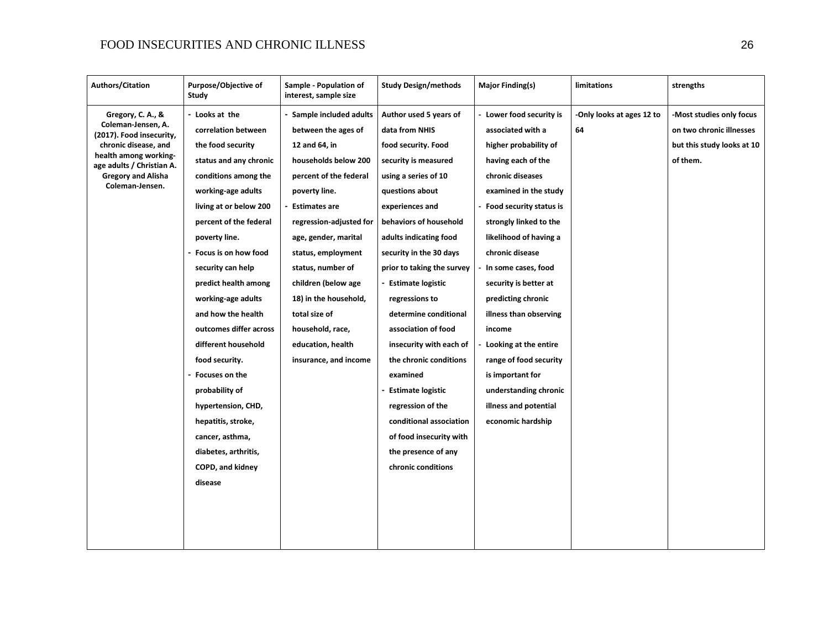| <b>Authors/Citation</b>                                                                                                                                                                           | Purpose/Objective of<br>Study                                                                                                                                                                                                                                                                                                                                                                                                                                                                                                                                    | Sample - Population of<br>interest, sample size                                                                                                                                                                                                                                                                                                                                            | <b>Study Design/methods</b>                                                                                                                                                                                                                                                                                                                                                                                                                                                                                                                                                           | <b>Major Finding(s)</b>                                                                                                                                                                                                                                                                                                                                                                                                                                                                             | limitations                     | strengths                                                                                     |
|---------------------------------------------------------------------------------------------------------------------------------------------------------------------------------------------------|------------------------------------------------------------------------------------------------------------------------------------------------------------------------------------------------------------------------------------------------------------------------------------------------------------------------------------------------------------------------------------------------------------------------------------------------------------------------------------------------------------------------------------------------------------------|--------------------------------------------------------------------------------------------------------------------------------------------------------------------------------------------------------------------------------------------------------------------------------------------------------------------------------------------------------------------------------------------|---------------------------------------------------------------------------------------------------------------------------------------------------------------------------------------------------------------------------------------------------------------------------------------------------------------------------------------------------------------------------------------------------------------------------------------------------------------------------------------------------------------------------------------------------------------------------------------|-----------------------------------------------------------------------------------------------------------------------------------------------------------------------------------------------------------------------------------------------------------------------------------------------------------------------------------------------------------------------------------------------------------------------------------------------------------------------------------------------------|---------------------------------|-----------------------------------------------------------------------------------------------|
| Gregory, C. A., &<br>Coleman-Jensen, A.<br>(2017). Food insecurity,<br>chronic disease, and<br>health among working-<br>age adults / Christian A.<br><b>Gregory and Alisha</b><br>Coleman-Jensen. | - Looks at the<br>correlation between<br>the food security<br>status and any chronic<br>conditions among the<br>working-age adults<br>living at or below 200<br>percent of the federal<br>poverty line.<br>- Focus is on how food<br>security can help<br>predict health among<br>working-age adults<br>and how the health<br>outcomes differ across<br>different household<br>food security.<br>- Focuses on the<br>probability of<br>hypertension, CHD,<br>hepatitis, stroke,<br>cancer, asthma,<br>diabetes, arthritis,<br><b>COPD, and kidney</b><br>disease | Sample included adults<br>between the ages of<br>12 and 64, in<br>households below 200<br>percent of the federal<br>poverty line.<br><b>Estimates are</b><br>regression-adjusted for<br>age, gender, marital<br>status, employment<br>status, number of<br>children (below age<br>18) in the household,<br>total size of<br>household, race,<br>education, health<br>insurance, and income | Author used 5 years of<br>data from NHIS<br>food security. Food<br>security is measured<br>using a series of 10<br>questions about<br>experiences and<br>behaviors of household<br>adults indicating food<br>security in the 30 days<br>prior to taking the survey<br><b>Estimate logistic</b><br>regressions to<br>determine conditional<br>association of food<br>insecurity with each of<br>the chronic conditions<br>examined<br><b>Estimate logistic</b><br>regression of the<br>conditional association<br>of food insecurity with<br>the presence of any<br>chronic conditions | - Lower food security is<br>associated with a<br>higher probability of<br>having each of the<br>chronic diseases<br>examined in the study<br>Food security status is<br>strongly linked to the<br>likelihood of having a<br>chronic disease<br>In some cases, food<br>security is better at<br>predicting chronic<br>illness than observing<br>income<br>Looking at the entire<br>range of food security<br>is important for<br>understanding chronic<br>illness and potential<br>economic hardship | -Only looks at ages 12 to<br>64 | Most studies only focus<br>on two chronic illnesses<br>but this study looks at 10<br>of them. |